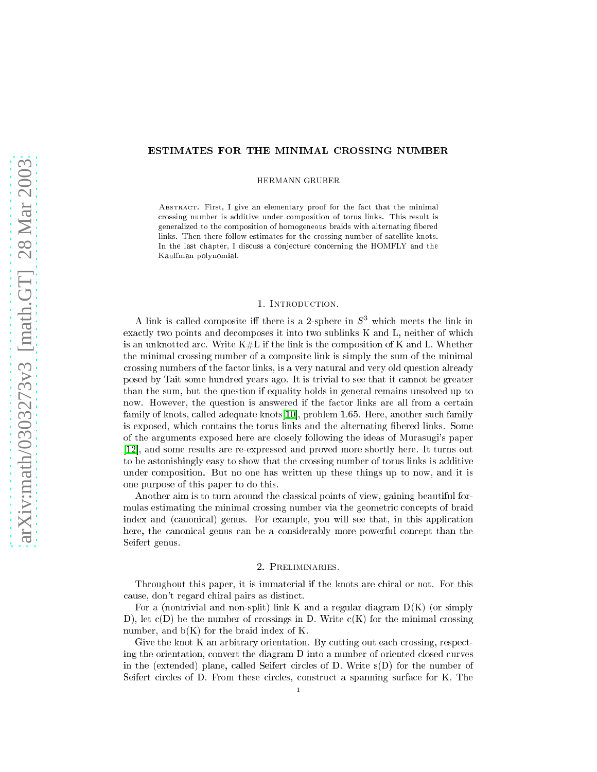## ESTIMATES FOR THE MINIMAL CROSSING NUMBER

HERMANN GRUBER

ABSTRACT. First, I give an elementary proof for the fact that the minimal crossing number is additive under composition of torus links. This result is generalized to the composition of homogeneous braids with alternating fibered links. Then there follow estimates for the crossing number of satellite knots. In the last chapter, I discuss a conjecture concerning the HOMFLY and the Kauffman polynomial.

## 1. INTRODUCTION.

A link is called composite iff there is a 2-sphere in  $S<sup>3</sup>$  which meets the link in exactly two points and decomposes it into two sublinks K and L, neither of which is an unknotted arc. Write  $K\#L$  if the link is the composition of K and L. Whether the minimal crossing number of a composite link is simply the sum of the minimal crossing numbers of the factor links, is a very natural and very old question already posed by Tait some hundred years ago. It is trivial to see that it annot be greater than the sum, but the question if equality holds in general remains unsolved up to now. However, the question is answered if the factor links are all from a certain family of knots, called adequate knots[10], problem 1.65. Here, another such family is exposed, whi
h ontains the torus links and the alternating bered links. Some of the arguments exposed here are losely following the ideas of Murasugi's paper [12], and some results are re-expressed and proved more shortly here. It turns out to be astonishingly easy to show that the rossing number of torus links is additive under omposition. But no one has written up these things up to now, and it is one purpose of this paper to do this.

Another aim is to turn around the lassi
al points of view, gaining beautiful formulas estimating the minimal crossing number via the geometric concepts of braid index and (canonical) genus. For example, you will see that, in this application here, the canonical genus can be a considerably more powerful concept than the Seifert genus.

## 2. PRELIMINARIES.

Throughout this paper, it is immaterial if the knots are chiral or not. For this ause, don't regard hiral pairs as distin
t.

For a (nontrivial and non-split) link K and a regular diagram  $D(K)$  (or simply D), let  $c(D)$  be the number of crossings in D. Write  $c(K)$  for the minimal crossing number, and  $b(K)$  for the braid index of K.

Give the knot K an arbitrary orientation. By cutting out each crossing, respecting the orientation, onvert the diagram D into a number of oriented losed urves in the (extended) plane, called Seifert circles of D. Write  $s(D)$  for the number of Seifert circles of D. From these circles, construct a spanning surface for K. The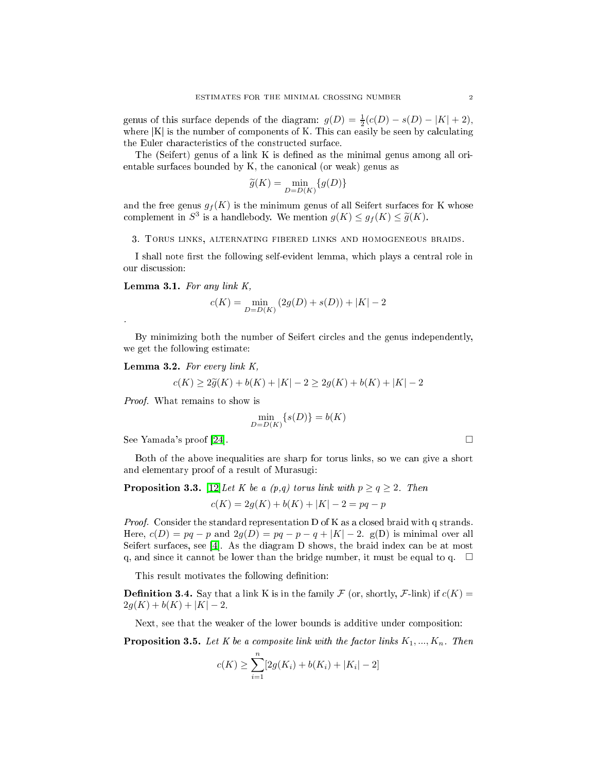genus of this surface depends of the diagram:  $g(D) = \frac{1}{2}(c(D) - s(D) - |K| + 2)$ , where  $|K|$  is the number of components of K. This can easily be seen by calculating the Euler characteristics of the constructed surface.

The (Seifert) genus of a link K is defined as the minimal genus among all orientable surfaces bounded by K, the canonical (or weak) genus as

$$
\widetilde{g}(K) = \min_{D = D(K)} \{g(D)\}
$$

and the free genus  $g_f(K)$  is the minimum genus of all Seifert surfaces for K whose complement in  $S^3$  is a handlebody. We mention  $g(K) \leq g_f(K) \leq \tilde{g}(K)$ .

3. Torus links, alternating fibered links and homogeneous braids.

I shall note first the following self-evident lemma, which plays a central role in our dis
ussion:

Lemma 3.1. For any link  $K$ ,

$$
c(K) = \min_{D = D(K)}{(2g(D) + s(D))} + |K| - 2
$$

<span id="page-1-0"></span>By minimizing both the number of Seifert circles and the genus independently, we get the following estimate:

Lemma 3.2. For every link  $K$ ,

$$
c(K) \ge 2\tilde{g}(K) + b(K) + |K| - 2 \ge 2g(K) + b(K) + |K| - 2
$$

Proof. What remains to show is

$$
\min_{D=D(K)}\{s(D)\}=b(K)
$$

See Yamada's proof [24].  $\Box$ 

Both of the above inequalities are sharp for torus links, so we an give a short and elementary proof of a result of Murasugi:

**Proposition 3.3.** [12] Let K be a  $(p,q)$  torus link with  $p \ge q \ge 2$ . Then

$$
c(K) = 2g(K) + b(K) + |K| - 2 = pq - p
$$

*Proof.* Consider the standard representation D of K as a closed braid with q strands. Here,  $c(D) = pq - p$  and  $2q(D) = pq - p - q + |K| - 2$ . g(D) is minimal over all Seifert surfaces, see [4]. As the diagram  $D$  shows, the braid index can be at most q, and since it cannot be lower than the bridge number, it must be equal to q.  $\Box$ 

This result motivates the following definition:

**Definition 3.4.** Say that a link K is in the family  $\mathcal F$  (or, shortly,  $\mathcal F$ -link) if  $c(K)$  =  $2g(K) + b(K) + |K| - 2.$ 

Next, see that the weaker of the lower bounds is additive under composition:

**Proposition 3.5.** Let K be a composite link with the factor links  $K_1, ..., K_n$ . Then

$$
c(K) \ge \sum_{i=1}^{n} [2g(K_i) + b(K_i) + |K_i| - 2]
$$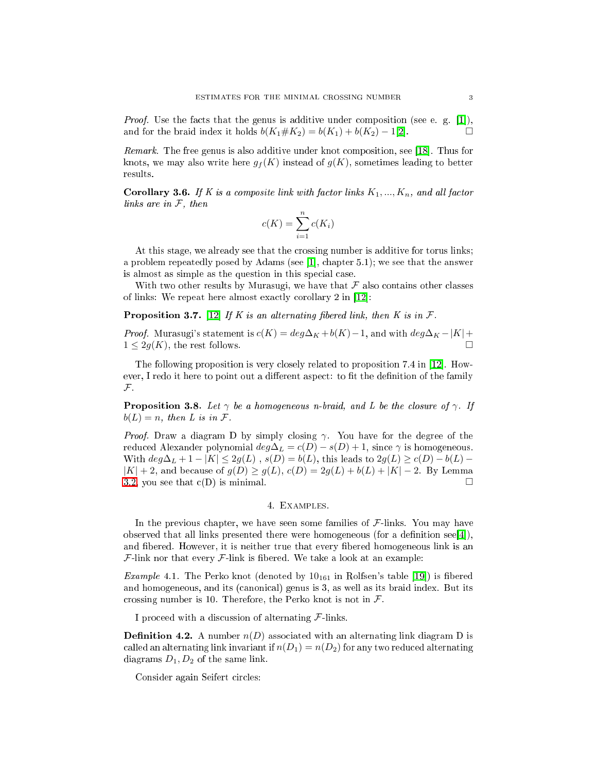*Proof.* Use the facts that the genus is additive under composition (see e.g. [1]), and for the braid index it holds  $b(K_1 \# K_2) = b(K_1) + b(K_2) - 1[2]$ .

*Remark*. The free genus is also additive under knot composition, see [18]. Thus for knots, we may also write here  $q_f(K)$  instead of  $q(K)$ , sometimes leading to better results.

Corollary 3.6. If K is a composite link with factor links  $K_1, ..., K_n$ , and all factor links are in  $F$ , then

$$
c(K) = \sum_{i=1}^{n} c(K_i)
$$

At this stage, we already see that the rossing number is additive for torus links; a problem repeatedly posed by Adams (see [1], chapter  $5.1$ ); we see that the answer is almost as simple as the question in this special case.

With two other results by Murasugi, we have that  $\mathcal F$  also contains other classes of links: We repeat here almost exactly corollary 2 in  $[12]$ :

**Proposition 3.7.** [12] If K is an alternating fibered link, then K is in  $\mathcal{F}$ .

*Proof.* Murasugi's statement is  $c(K) = deg\Delta_K + b(K) - 1$ , and with  $deg\Delta_K - |K| +$  $1 \leq 2q(K)$ , the rest follows.

The following proposition is very closely related to proposition 7.4 in [12]. However, I redo it here to point out a different aspect: to fit the definition of the family  $\mathcal{F}$ .

**Proposition 3.8.** Let  $\gamma$  be a homogeneous n-braid, and L be the closure of  $\gamma$ . If  $b(L) = n$ , then L is in F.

*Proof.* Draw a diagram D by simply closing  $\gamma$ . You have for the degree of the reduced Alexander polynomial  $deg\Delta_L = c(D) - s(D) + 1$ , since  $\gamma$  is homogeneous. With  $deg \Delta_L + 1 - |K| \leq 2g(L)$ ,  $s(D) = b(L)$ , this leads to  $2g(L) \geq c(D) - b(L)$  $|K| + 2$ , and because of  $g(D) \ge g(L)$ ,  $c(D) = 2g(L) + b(L) + |K| - 2$ . By Lemma [3.2,](#page-1-0) you see that  $c(D)$  is minimal.

# 4. Examples.

In the previous chapter, we have seen some families of  $\mathcal{F}$ -links. You may have observed that all links presented there were homogeneous (for a definition see[4]), and fibered. However, it is neither true that every fibered homogeneous link is an  $\mathcal{F}$ -link nor that every  $\mathcal{F}$ -link is fibered. We take a look at an example:

*Example* 4.1. The Perko knot (denoted by  $10_{161}$  in Rolfsen's table [19]) is fibered and homogeneous, and its (canonical) genus is 3, as well as its braid index. But its crossing number is 10. Therefore, the Perko knot is not in  $\mathcal{F}$ .

I proceed with a discussion of alternating  $\mathcal{F}$ -links.

**Definition 4.2.** A number  $n(D)$  associated with an alternating link diagram D is called an alternating link invariant if  $n(D_1) = n(D_2)$  for any two reduced alternating diagrams  $D_1, D_2$  of the same link.

Consider again Seifert circles: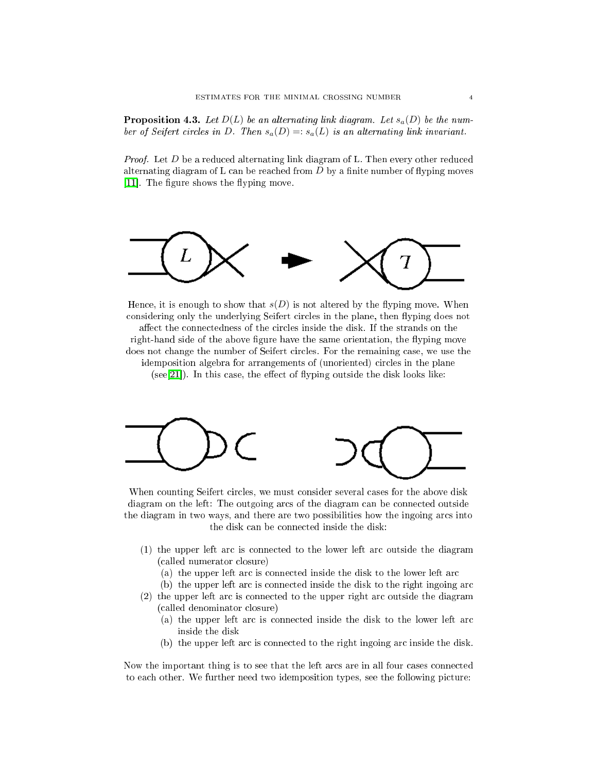**Proposition 4.3.** Let  $D(L)$  be an alternating link diagram. Let  $s_a(D)$  be the number of Seifert circles in D. Then  $s_a(D) =: s_a(L)$  is an alternating link invariant.

*Proof.* Let  $D$  be a reduced alternating link diagram of L. Then every other reduced alternating diagram of L can be reached from  $D$  by a finite number of flyping moves [11]. The figure shows the flyping move.



Hence, it is enough to show that  $s(D)$  is not altered by the flyping move. When considering only the underlying Seifert circles in the plane, then flyping does not affect the connectedness of the circles inside the disk. If the strands on the right-hand side of the above figure have the same orientation, the flyping move does not change the number of Seifert circles. For the remaining case, we use the idemposition algebra for arrangements of (unoriented) circles in the plane  $(see [21])$ . In this case, the effect of flyping outside the disk looks like:



When counting Seifert circles, we must consider several cases for the above disk diagram on the left: The outgoing arcs of the diagram can be connected outside the diagram in two ways, and there are two possibilities how the ingoing ar
s into the disk an be onne
ted inside the disk:

- (1) the upper left ar is onne
ted to the lower left ar outside the diagram (
alled numerator losure)
	- (a) the upper left arc is connected inside the disk to the lower left arc
	- (b) the upper left arc is connected inside the disk to the right ingoing arc
- (2) the upper left ar is onne
ted to the upper right ar outside the diagram (
alled denominator losure)
	- (a) the upper left arc is connected inside the disk to the lower left arc inside the disk
	- (b) the upper left ar is onne
	ted to the right ingoing ar inside the disk.

Now the important thing is to see that the left arcs are in all four cases connected to ea
h other. We further need two idemposition types, see the following pi
ture: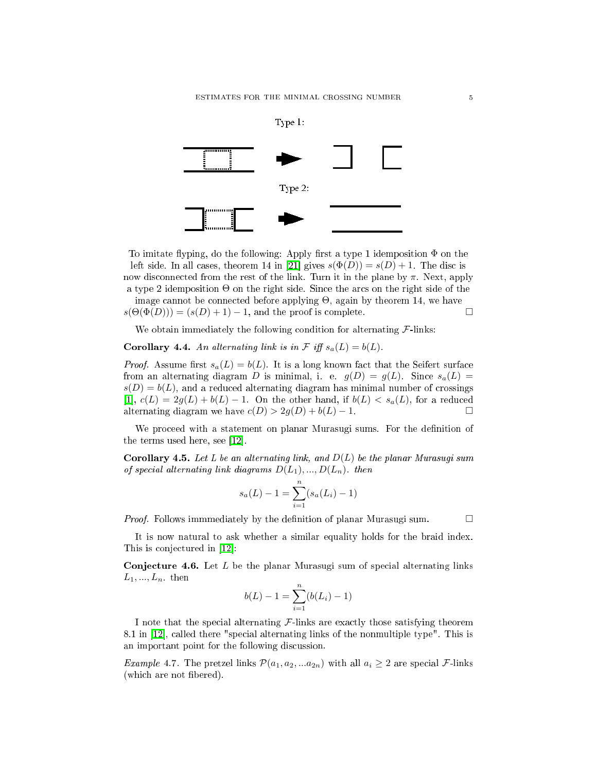

To imitate flyping, do the following: Apply first a type 1 idemposition  $\Phi$  on the left side. In all cases, theorem 14 in [21] gives  $s(\Phi(D)) = s(D) + 1$ . The disc is now disconnected from the rest of the link. Turn it in the plane by  $\pi$ . Next, apply a type 2 idemposition Θ on the right side. Sin
e the ar
s on the right side of the

image cannot be connected before applying  $\Theta$ , again by theorem 14, we have  $s(\Theta(\Phi(D))) = (s(D) + 1) - 1$ , and the proof is complete.

We obtain immediately the following condition for alternating  $\mathcal{F}\text{-links}$ :

<span id="page-4-0"></span>**Corollary 4.4.** An alternating link is in  $\mathcal{F}$  iff  $s_a(L) = b(L)$ .

*Proof.* Assume first  $s_a(L) = b(L)$ . It is a long known fact that the Seifert surface from an alternating diagram D is minimal, i. e.  $g(D) = g(L)$ . Since  $s_a(L) =$  $s(D) = b(L)$ , and a reduced alternating diagram has minimal number of crossings [1],  $c(L) = 2g(L) + b(L) - 1$ . On the other hand, if  $b(L) < s_a(L)$ , for a reduced alternating diagram we have  $c(D) > 2g(D) + b(L) - 1$ .

We proceed with a statement on planar Murasugi sums. For the definition of the terms used here, see  $[12]$ .

**Corollary 4.5.** Let L be an alternating link, and  $D(L)$  be the planar Murasugi sum of special alternating link diagrams  $D(L_1),...,D(L_n)$ . then

$$
s_a(L) - 1 = \sum_{i=1}^{n} (s_a(L_i) - 1)
$$

*Proof.* Follows immmediately by the definition of planar Murasugi sum.  $\Box$ 

<span id="page-4-1"></span>It is now natural to ask whether a similar equality holds for the braid index. This is conjectured in  $[12]$ :

**Conjecture 4.6.** Let L be the planar Murasugi sum of special alternating links  $L_1, ..., L_n$  then

$$
b(L) - 1 = \sum_{i=1}^{n} (b(L_i) - 1)
$$

I note that the special alternating  $\mathcal F$ -links are exactly those satisfying theorem 8.1 in [12], called there "special alternating links of the nonmultiple type". This is an important point for the following dis
ussion.

*Example* 4.7. The pretzel links  $\mathcal{P}(a_1, a_2, ... a_{2n})$  with all  $a_i \geq 2$  are special *F*-links (which are not fibered).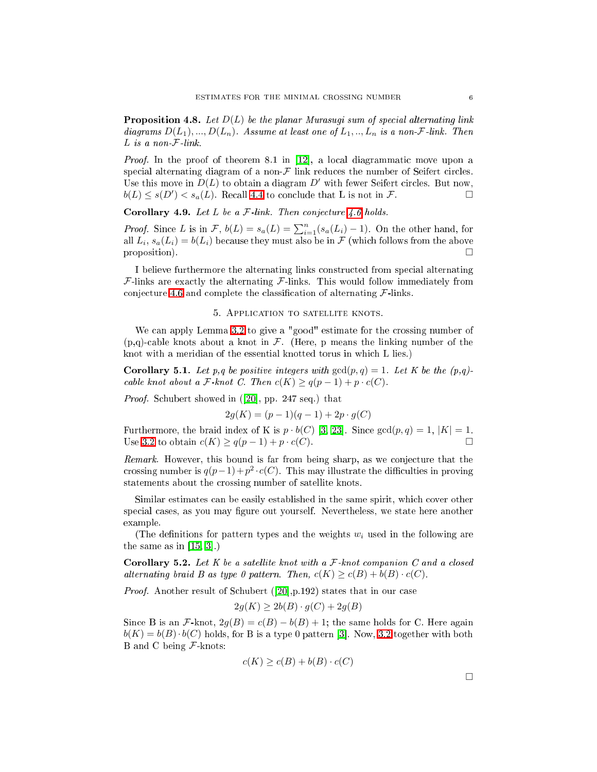**Proposition 4.8.** Let  $D(L)$  be the planar Murasugi sum of special alternating link diagrams  $D(L_1),...,D(L_n)$ . Assume at least one of  $L_1,..,L_n$  is a non-F-link. Then  $L$  is a non- $\mathcal{F}$ -link.

*Proof.* In the proof of theorem 8.1 in  $[12]$ , a local diagrammatic move upon a special alternating diagram of a non- $\mathcal F$  link reduces the number of Seifert circles. Use this move in  $D(L)$  to obtain a diagram  $D'$  with fewer Seifert circles. But now,  $b(L) \leq s(D') < s_a(L)$ . Recall [4.4](#page-4-0) to conclude that L is not in F.

Corollary 4.9. Let L be a  $\mathcal F$ -link. Then conjecture [4.6](#page-4-1) holds.

*Proof.* Since L is in F,  $b(L) = s_a(L) = \sum_{i=1}^n (s_a(L_i) - 1)$ . On the other hand, for all  $L_i$ ,  $s_a(L_i) = b(L_i)$  because they must also be in  $\mathcal F$  (which follows from the above proposition).  $\Box$ 

I believe furthermore the alternating links constructed from special alternating  $F$ -links are exactly the alternating  $F$ -links. This would follow immediately from conjecture [4.6](#page-4-1) and complete the classification of alternating  $\mathcal{F}\text{-links}$ .

## 5. APPLICATION TO SATELLITE KNOTS.

We can apply Lemma [3.2](#page-1-0) to give a "good" estimate for the crossing number of  $(p,q)$ -cable knots about a knot in F. (Here, p means the linking number of the knot with a meridian of the essential knotted torus in whi
h L lies.)

**Corollary 5.1.** Let p,q be positive integers with  $gcd(p,q) = 1$ . Let K be the  $(p,q)$ cable knot about a F knot C. Then  $c(K) \geq q(p-1) + p \cdot c(C)$ .

*Proof.* Schubert showed in  $(20, pp. 247 \text{ seq.})$  that

$$
2g(K) = (p-1)(q-1) + 2p \cdot g(C)
$$

Furthermore, the braid index of K is  $p \cdot b(C)$  [\[3,](#page-9-10) 23]. Since  $gcd(p, q) = 1$ ,  $|K| = 1$ . Use [3.2](#page-1-0) to obtain  $c(K) \geq q(p-1) + p \cdot c(C)$ .

Remark. However, this bound is far from being sharp, as we conjecture that the crossing number is  $q(p-1)+p^2\cdot c(C)$ . This may illustrate the difficulties in proving statements about the rossing number of satellite knots.

Similar estimates can be easily established in the same spirit, which cover other special cases, as you may figure out yourself. Nevertheless, we state here another example.

(The definitions for pattern types and the weights  $w_i$  used in the following are the same as in  $[15, 3]$  $[15, 3]$ .)

**Corollary 5.2.** Let K be a satellite knot with a  $\mathcal{F}$ -knot companion C and a closed alternating braid B as type 0 pattern. Then,  $c(K) \geq c(B) + b(B) \cdot c(C)$ .

*Proof.* Another result of Schubert  $(20, p.192)$  states that in our case

$$
2g(K) \ge 2b(B) \cdot g(C) + 2g(B)
$$

Since B is an F-knot,  $2g(B) = c(B) - b(B) + 1$ ; the same holds for C. Here again  $b(K) = b(B) \cdot b(C)$  holds, for B is a type 0 pattern [3]. Now, [3.2](#page-1-0) together with both B and C being  $\mathcal F$ -knots:

$$
c(K) \ge c(B) + b(B) \cdot c(C)
$$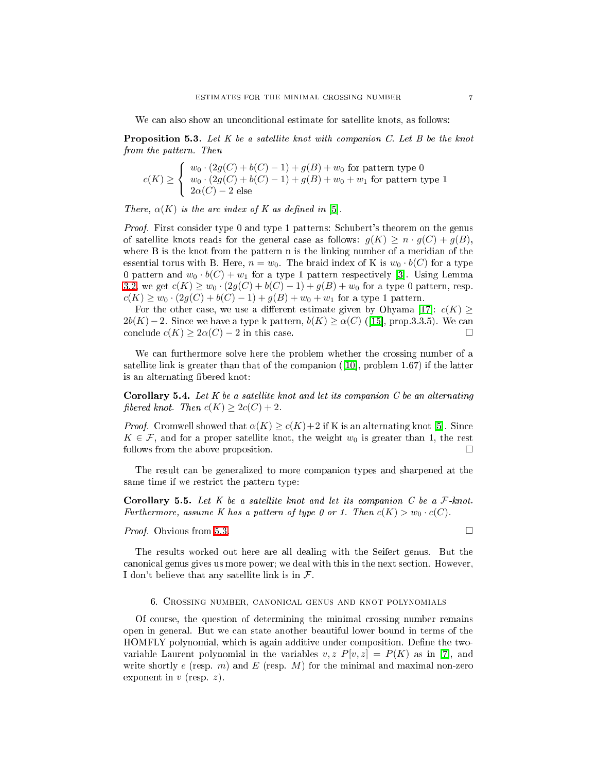We can also show an unconditional estimate for satellite knots, as follows:

<span id="page-6-0"></span>**Proposition 5.3.** Let  $K$  be a satellite knot with companion  $C$ . Let  $B$  be the knot from the pattern. Then

$$
c(K) \ge \begin{cases} w_0 \cdot (2g(C) + b(C) - 1) + g(B) + w_0 \text{ for pattern type } 0 \\ w_0 \cdot (2g(C) + b(C) - 1) + g(B) + w_0 + w_1 \text{ for pattern type } 1 \\ 2\alpha(C) - 2 \text{ else} \end{cases}
$$

There,  $\alpha(K)$  is the arc index of K as defined in [5].

*Proof.* First consider type 0 and type 1 patterns: Schubert's theorem on the genus of satellite knots reads for the general case as follows:  $g(K) \geq n \cdot g(C) + g(B)$ , where B is the knot from the pattern n is the linking number of a meridian of the essential torus with B. Here,  $n = w_0$ . The braid index of K is  $w_0 \cdot b(C)$  for a type 0 pattern and  $w_0 \cdot b(C) + w_1$  for a type 1 pattern respectively [3]. Using Lemma [3.2,](#page-1-0) we get  $c(K) \geq w_0 \cdot (2g(C) + b(C) - 1) + g(B) + w_0$  for a type 0 pattern, resp.  $c(K) \geq w_0 \cdot (2g(C) + b(C) - 1) + g(B) + w_0 + w_1$  for a type 1 pattern.

For the other case, we use a different estimate given by Ohyama [17]:  $c(K) \geq$  $2b(K) - 2$ . Since we have a type k pattern,  $b(K) \geq \alpha(C)$  ([15], prop.3.3.5). We can conclude  $c(K) \geq 2\alpha(C) - 2$  in this case.

We can furthermore solve here the problem whether the crossing number of a satellite link is greater than that of the companion  $(10]$ , problem 1.67) if the latter is an alternating fibered knot:

**Corollary 5.4.** Let  $K$  be a satellite knot and let its companion  $C$  be an alternating fibered knot. Then  $c(K) \geq 2c(C) + 2$ .

*Proof.* Cromwell showed that  $\alpha(K) \geq c(K) + 2$  if K is an alternating knot [5]. Since  $K \in \mathcal{F}$ , and for a proper satellite knot, the weight  $w_0$  is greater than 1, the rest follows from the above proposition.

The result an be generalized to more ompanion types and sharpened at the same time if we restrict the pattern type:

**Corollary 5.5.** Let  $K$  be a satellite knot and let its companion  $C$  be a  $F$ -knot. Furthermore, assume K has a pattern of type 0 or 1. Then  $c(K) > w_0 \cdot c(C)$ .

*Proof.* Obvious from [5.3.](#page-6-0) □

The results worked out here are all dealing with the Seifert genus. But the anoni
al genus gives us more power; we deal with this in the next se
tion. However, I don't believe that any satellite link is in  $\mathcal{F}$ .

#### 6. Crossing number, anoni
al genus and knot polynomials

Of ourse, the question of determining the minimal rossing number remains open in general. But we an state another beautiful lower bound in terms of the HOMFLY polynomial, which is again additive under composition. Define the twovariable Laurent polynomial in the variables  $v, z P[v, z] = P(K)$  as in [7], and write shortly e (resp. m) and E (resp. M) for the minimal and maximal non-zero exponent in  $v$  (resp.  $z$ ).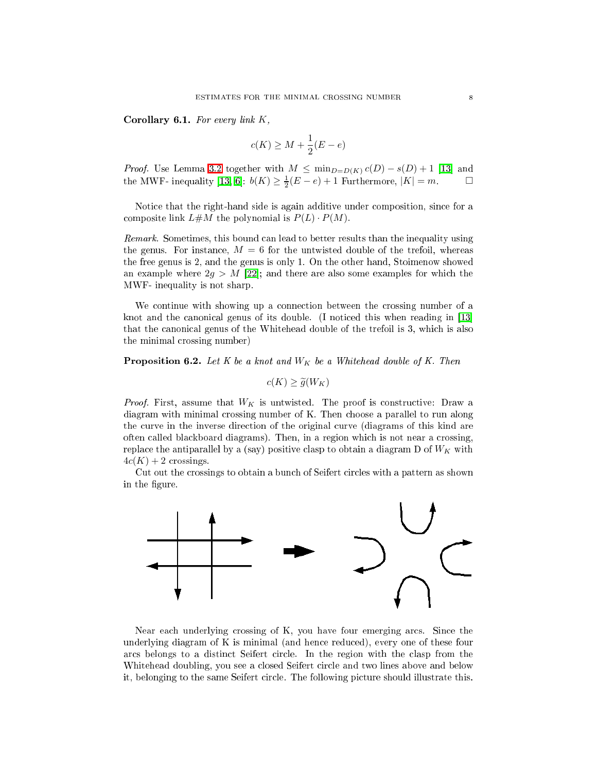Corollary 6.1. For every link  $K$ ,

$$
c(K) \ge M + \frac{1}{2}(E - e)
$$

*Proof.* Use Lemma [3.2](#page-1-0) together with  $M \n\leq \min_{D=D(K)} c(D) - s(D) + 1$  [13] and the MWF- inequality [\[13,](#page-9-15) 6]:  $b(K) \geq \frac{1}{2}(E-e) + 1$  Furthermore,  $|K| = m$ .

Notice that the right-hand side is again additive under composition, since for a composite link  $L \# M$  the polynomial is  $P(L) \cdot P(M)$ .

Remark. Sometimes, this bound can lead to better results than the inequality using the genus. For instance,  $M = 6$  for the untwisted double of the trefoil, whereas the free genus is 2, and the genus is only 1. On the other hand, Stoimenow showed an example where  $2g > M$  [22]; and there are also some examples for which the MWF- inequality is not sharp.

We continue with showing up a connection between the crossing number of a knot and the canonical genus of its double. (I noticed this when reading in  $[13]$ that the anoni
al genus of the Whitehead double of the trefoil is 3, whi
h is also the minimal rossing number)

<span id="page-7-0"></span>**Proposition 6.2.** Let K be a knot and  $W_K$  be a Whitehead double of K. Then

$$
c(K) \ge \widetilde{g}(W_K)
$$

*Proof.* First, assume that  $W_K$  is untwisted. The proof is constructive: Draw a diagram with minimal rossing number of K. Then hoose a parallel to run along the urve in the inverse dire
tion of the original urve (diagrams of this kind are often alled bla
kboard diagrams). Then, in a region whi
h is not near a rossing, replace the antiparallel by a (say) positive clasp to obtain a diagram D of  $W_K$  with  $4c(K) + 2$  crossings.

Cut out the crossings to obtain a bunch of Seifert circles with a pattern as shown in the figure.



Near each underlying crossing of K, you have four emerging arcs. Since the underlying diagram of K is minimal (and hen
e redu
ed), every one of these four ar
s belongs to a distin
t Seifert ir
le. In the region with the lasp from the Whitehead doubling, you see a closed Seifert circle and two lines above and below it, belonging to the same Seifert ir
le. The following pi
ture should illustrate this.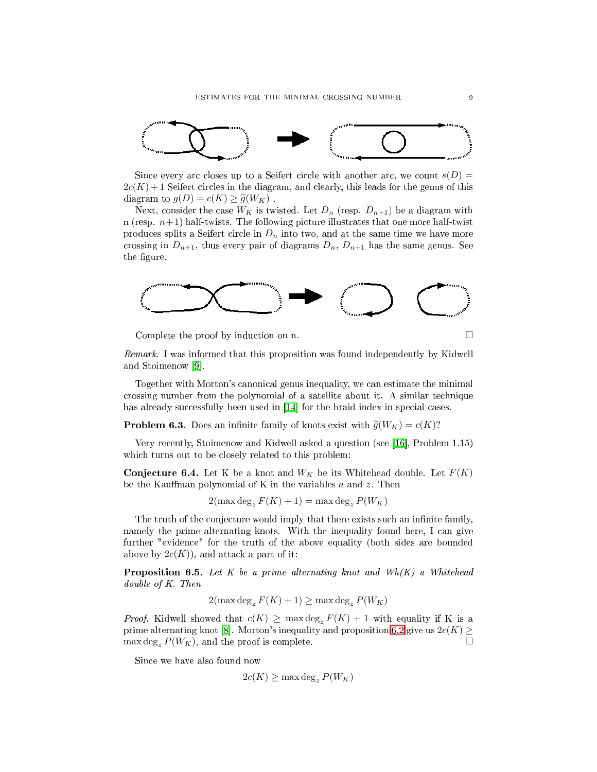

Since every arc closes up to a Seifert circle with another arc, we count  $s(D)$  =  $2c(K) + 1$  Seifert circles in the diagram, and clearly, this leads for the genus of this diagram to  $g(D) = c(K) \ge \tilde{g}(W_K)$ .

Next, consider the case  $W_K$  is twisted. Let  $D_n$  (resp.  $D_{n+1}$ ) be a diagram with n (resp.  $n+1$ ) half-twists. The following picture illustrates that one more half-twist produces splits a Seifert circle in  $D_n$  into two, and at the same time we have more crossing in  $D_{n+1}$ , thus every pair of diagrams  $D_n$ ,  $D_{n+1}$  has the same genus. See the figure.



Complete the proof by induction on n.

Remark. I was informed that this proposition was found independently by Kidwell and Stoimenow [9].

Together with Morton's canonical genus inequality, we can estimate the minimal crossing number from the polynomial of a satellite about it. A similar technique has already successfully been used in [14] for the braid index in special cases.

**Problem 6.3.** Does an infinite family of knots exist with  $\tilde{g}(W_K) = c(K)$ ?

Very recently, Stoimenow and Kidwell asked a question (see [16], Problem 1.15) which turns out to be closely related to this problem:

**Conjecture 6.4.** Let K be a knot and  $W_K$  be its Whitehead double. Let  $F(K)$ be the Kauffman polynomial of K in the variables  $a$  and  $z$ . Then

 $2(\max \deg_z F(K) + 1) = \max \deg_z P(W_K)$ 

The truth of the conjecture would imply that there exists such an infinite family, namely the prime alternating knots. With the inequality found here, I can give further "eviden
e" for the truth of the above equality (both sides are bounded above by  $2c(K)$ , and attack a part of it:

**Proposition 6.5.** Let K be a prime alternating knot and  $Wh(K)$  a Whitehead double of K. Then

$$
2(\max \deg_z F(K) + 1) \ge \max \deg_z P(W_K)
$$

*Proof.* Kidwell showed that  $c(K) \geq \max \deg_z F(K) + 1$  with equality if K is a prime alternating knot [8]. Morton's inequality and proposition [6.2](#page-7-0) give us  $2c(K) \geq$  $\max \deg_z P(W_K)$ , and the proof is complete.

Sin
e we have also found now

$$
2c(K) \ge \max \deg_z P(W_K)
$$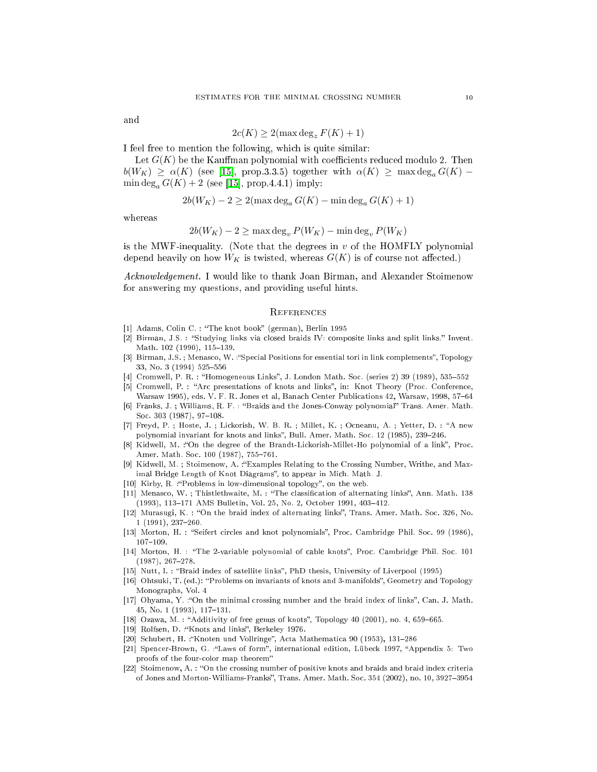and

$$
2c(K) \ge 2(\max \deg_z F(K) + 1)
$$

I feel free to mention the following, whi
h is quite similar:

Let  $G(K)$  be the Kauffman polynomial with coefficients reduced modulo 2. Then  $b(W_K) \ge \alpha(K)$  (see [15], prop.3.3.5) together with  $\alpha(K) \ge \max \deg_a G(K)$  –  $\min \deg_a G(K) + 2$  (see [15], prop.4.4.1) imply:

$$
2b(W_K) - 2 \ge 2(\max \deg_a G(K) - \min \deg_a G(K) + 1)
$$

whereas

$$
2b(W_K) - 2 \ge \max \deg_v P(W_K) - \min \deg_v P(W_K)
$$

is the MWF-inequality. (Note that the degrees in  $v$  of the HOMFLY polynomial depend heavily on how  $W_K$  is twisted, whereas  $G(K)$  is of course not affected.)

Acknowledgement. I would like to thank Joan Birman, and Alexander Stoimenow for answering my questions, and providing useful hints.

## **REFERENCES**

- <span id="page-9-4"></span><span id="page-9-3"></span>[1] Adams, Colin C. : "The knot book" (german), Berlin 1995
- [2] Birman, J.S. : "Studying links via closed braids IV: composite links and split links." Invent. Math. 102 (1990), 115-139.
- <span id="page-9-10"></span><span id="page-9-2"></span>[3] Birman, J.S.; Menasco, W.: "Special Positions for essential tori in link complements", Topology 33, No. 3 (1994) 525-556
- [4] Cromwell, P. R. : "Homogeneous Links", J. London Math. Soc. (series 2) 39 (1989), 535-552
- <span id="page-9-16"></span><span id="page-9-12"></span>[5] Cromwell, P. : "Arc presentations of knots and links", in: Knot Theory (Proc. Conference, Warsaw 1995), eds. V. F. R. Jones et al, Banach Center Publications 42, Warsaw, 1998, 57-64
- Franks, J. ; Williams, R. F. : "Braids and the Jones-Conway polynomial" Trans. Amer. Math. Soc. 303 (1987), 97-108.
- <span id="page-9-14"></span>[7] Freyd, P. ; Hoste, J. ; Lickorish, W. B. R. ; Millet, K. ; Ocneanu, A. ; Yetter, D. : "A new polynomial invariant for knots and links", Bull. Amer. Math. Soc. 12 (1985), 239-246.
- <span id="page-9-21"></span>[8] Kidwell, M. :"On the degree of the Brandt-Lickorish-Millet-Ho polynomial of a link", Proc. Amer. Math. Soc. 100 (1987), 755-761.
- <span id="page-9-18"></span><span id="page-9-0"></span>[9] Kidwell, M. ; Stoimenow, A. :"Examples Relating to the Crossing Number, Writhe, and Maximal Bridge Length of Knot Diagrams", to appear in Mich. Math. J.
- [10] Kirby, R. :"Problems in low-dimensional topology", on the web.
- <span id="page-9-7"></span>[11] Menasco, W.; Thistlethwaite, M.: "The classification of alternating links", Ann. Math. 138 (1993), 113-171 AMS Bulletin, Vol. 25, No. 2, October 1991, 403-412.
- <span id="page-9-1"></span>[12] Murasugi, K. : "On the braid index of alternating links", Trans. Amer. Math. Soc. 326, No.  $1(1991), 237-260.$
- <span id="page-9-19"></span><span id="page-9-15"></span>[13] Morton, H. : "Seifert circles and knot polynomials", Proc. Cambridge Phil. Soc. 99 (1986),  $107 - 109.$
- [14] Morton, H. : "The 2-variable polynomial of cable knots", Proc. Cambridge Phil. Soc. 101  $(1987), 267-278.$
- <span id="page-9-20"></span><span id="page-9-11"></span>[15] Nutt, I. : "Braid index of satellite links", PhD thesis, University of Liverpool (1995)
- [16] Ohtsuki, T. (ed.): "Problems on invariants of knots and 3-manifolds", Geometry and Topology Monographs, Vol. 4
- <span id="page-9-13"></span>[17] Ohyama, Y. : "On the minimal crossing number and the braid index of links", Can. J. Math. 45, No. 1 (1993), 117-131.
- <span id="page-9-6"></span><span id="page-9-5"></span>[18] Ozawa, M. : "Additivity of free genus of knots", Topology 40 (2001), no. 4, 659–665.
- <span id="page-9-9"></span>[19] Rolfsen, D. : "Knots and links", Berkeley 1976.
- [20] Schubert, H. :"Knoten und Vollringe", Acta Mathematica 90 (1953), 131-286
- <span id="page-9-8"></span>[21] Spencer-Brown, G. :"Laws of form", international edition, Lübeck 1997, "Appendix 5: Two proofs of the four-color map theorem"
- <span id="page-9-17"></span>[22] Stoimenow, A.: "On the crossing number of positive knots and braids and braid index criteria of Jones and Morton-Williams-Franks", Trans. Amer. Math. Soc. 354 (2002), no. 10, 3927-3954